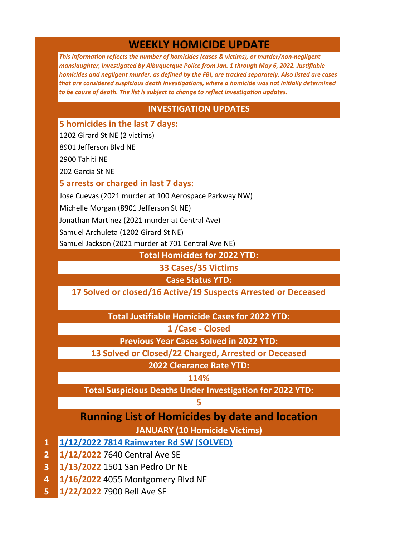# **WEEKLY HOMICIDE UPDATE**

*This information reflects the number of homicides (cases & victims), or murder/non-negligent manslaughter, investigated by Albuquerque Police from Jan. 1 through May 6, 2022. Justifiable homicides and negligent murder, as defined by the FBI, are tracked separately. Also listed are cases that are considered suspicious death investigations, where a homicide was not initially determined to be cause of death. The list is subject to change to reflect investigation updates.*

### **INVESTIGATION UPDATES**

**5 homicides in the last 7 days:** 

1202 Girard St NE (2 victims)

8901 Jefferson Blvd NE

2900 Tahiti NE

202 Garcia St NE

### **5 arrests or charged in last 7 days:**

Jose Cuevas (2021 murder at 100 Aerospace Parkway NW)

Michelle Morgan (8901 Jefferson St NE)

Jonathan Martinez (2021 murder at Central Ave)

Samuel Archuleta (1202 Girard St NE)

Samuel Jackson (2021 murder at 701 Central Ave NE)

**Total Homicides for 2022 YTD:**

**33 Cases/35 Victims**

**Case Status YTD:**

**17 Solved or closed/16 Active/19 Suspects Arrested or Deceased**

**Total Justifiable Homicide Cases for 2022 YTD:**

**1 /Case - Closed**

**Previous Year Cases Solved in 2022 YTD:**

**13 Solved or Closed/22 Charged, Arrested or Deceased**

**2022 Clearance Rate YTD:**

**114%**

**Total Suspicious Deaths Under Investigation for 2022 YTD:**

#### **5**

# **Running List of Homicides by date and location JANUARY (10 Homicide Victims)**

- **1 [1/12/2022 7814 Rainwater Rd SW \(SOLVED\)](https://www.cabq.gov/police/news/apd-arrests-murder-suspect-following-crime-stoppers-tips)**
- **2 1/12/2022** 7640 Central Ave SE
- **3 1/13/2022** 1501 San Pedro Dr NE
- **4 1/16/2022** 4055 Montgomery Blvd NE
- **5 1/22/2022** 7900 Bell Ave SE